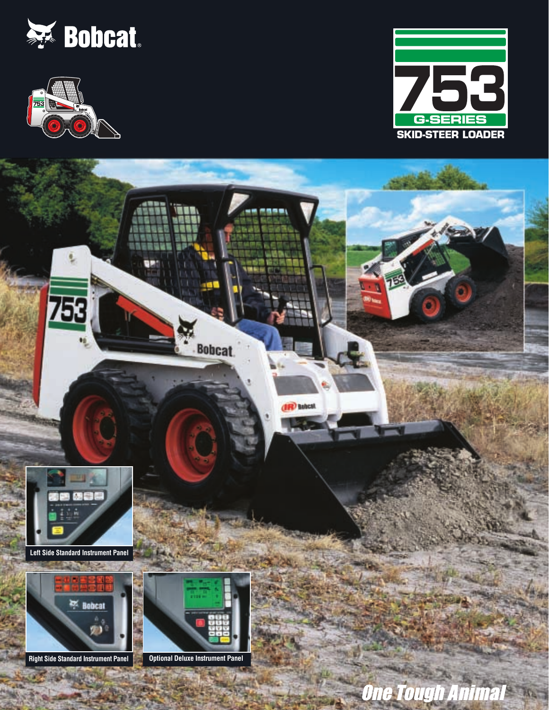